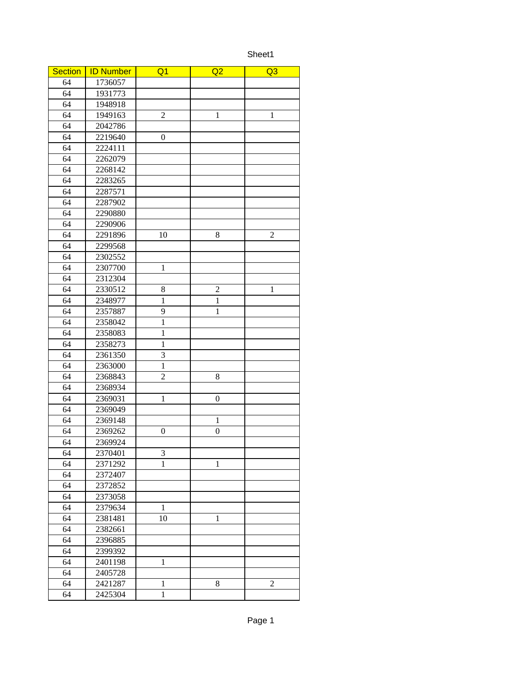Sheet1

| <b>Section</b>  | <b>ID Number</b> | Q1               | Q <sub>2</sub>   | Q <sub>3</sub> |
|-----------------|------------------|------------------|------------------|----------------|
| 64              | 1736057          |                  |                  |                |
| 64              | 1931773          |                  |                  |                |
| 64              | 1948918          |                  |                  |                |
| 64              | 1949163          | $\overline{c}$   | $\mathbf 1$      | $\mathbf 1$    |
| 64              | 2042786          |                  |                  |                |
| 64              | 2219640          | 0                |                  |                |
| 64              | 2224111          |                  |                  |                |
| 64              | 2262079          |                  |                  |                |
| 64              | 2268142          |                  |                  |                |
| 64              | 2283265          |                  |                  |                |
| 64              | 2287571          |                  |                  |                |
| $\overline{64}$ | 2287902          |                  |                  |                |
| 64              | 2290880          |                  |                  |                |
| 64              | 2290906          |                  |                  |                |
| 64              | 2291896          | 10               | 8                | $\overline{2}$ |
| 64              | 2299568          |                  |                  |                |
| 64              | 2302552          |                  |                  |                |
| $\overline{64}$ | 2307700          | $\mathbf{1}$     |                  |                |
| 64              | 2312304          |                  |                  |                |
| 64              | 2330512          | 8                | $\overline{2}$   | $\mathbf{1}$   |
| 64              | 2348977          | $\mathbf{1}$     | $\mathbf{1}$     |                |
| 64              | 2357887          | 9                | $\mathbf{1}$     |                |
| 64              | 2358042          | $\mathbf{1}$     |                  |                |
| 64              | 2358083          | $\mathbf{1}$     |                  |                |
| 64              | 2358273          | $\mathbf{1}$     |                  |                |
| 64              | 2361350          | 3                |                  |                |
| 64              | 2363000          | $\mathbf{1}$     |                  |                |
| 64              | 2368843          | $\overline{a}$   | 8                |                |
| 64              | 2368934          |                  |                  |                |
| 64              | 2369031          | $\mathbf{1}$     | 0                |                |
| 64              | 2369049          |                  |                  |                |
| 64              | 2369148          |                  | $\mathbf{1}$     |                |
| 64              | 2369262          | $\boldsymbol{0}$ | $\boldsymbol{0}$ |                |
| 64              | 2369924          |                  |                  |                |
| 64              | 2370401          | 3                |                  |                |
| 64              | 2371292          | $\mathbf{1}$     | $\mathbf{1}$     |                |
| 64              | 2372407          |                  |                  |                |
| 64              | 2372852          |                  |                  |                |
| 64              | 2373058          |                  |                  |                |
| 64              | 2379634          | $\mathbf{1}$     |                  |                |
| 64              | 2381481          | 10               | $\mathbf{1}$     |                |
| 64              | 2382661          |                  |                  |                |
| 64              | 2396885          |                  |                  |                |
| 64              | 2399392          |                  |                  |                |
| 64              | 2401198          | $\mathbf{1}$     |                  |                |
| 64              | 2405728          |                  |                  |                |
| 64              | 2421287          | $\mathbf{1}$     | 8                | 2              |
| 64              | 2425304          | $\mathbf{1}$     |                  |                |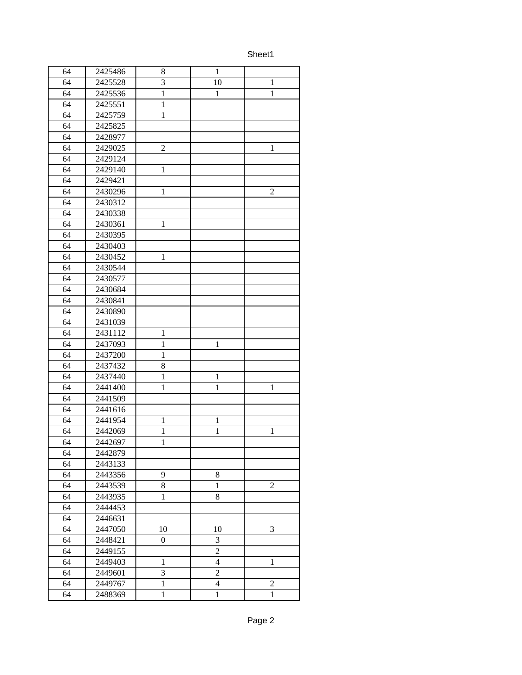Sheet1

| 64<br>$\mathbf{1}$<br>8<br>64<br>3<br>2425528<br>10<br>$\mathbf{1}$<br>64<br>2425536<br>$\mathbf{1}$<br>$\mathbf{1}$<br>$\mathbf{1}$<br>64<br>2425551<br>$\mathbf{1}$<br>64<br>2425759<br>$\mathbf{1}$<br>64<br>2425825<br>64<br>2428977<br>64<br>$\overline{2}$<br>2429025<br>$\mathbf{1}$<br>64<br>2429124<br>64<br>$\mathbf{1}$<br>2429140<br>64<br>2429421<br>64<br>2430296<br>$\overline{2}$<br>$\mathbf{1}$<br>64<br>2430312<br>64<br>2430338<br>64<br>$\mathbf{1}$<br>2430361<br>64<br>2430395<br>64<br>2430403<br>64<br>2430452<br>$\mathbf{1}$<br>64<br>2430544<br>64<br>2430577<br>64<br>2430684<br>64<br>2430841<br>64<br>2430890<br>64<br>2431039<br>64<br>2431112<br>$\mathbf{1}$<br>64<br>2437093<br>$\mathbf{1}$<br>$\mathbf{1}$<br>64<br>2437200<br>$\mathbf{1}$<br>64<br>2437432<br>8<br>64<br>$\overline{1}$<br>2437440<br>$\mathbf{1}$<br>64<br>$\mathbf{1}$<br>$\overline{1}$<br>2441400<br>$\mathbf{1}$<br>64<br>2441509<br>64<br>2441616<br>64<br>2441954<br>$\mathbf{1}$<br>$\mathbf 1$<br>64<br>2442069<br>$\mathbf{1}$<br>$\mathbf{1}$<br>$\mathbf{1}$<br>64<br>2442697<br>$\mathbf{1}$<br>64<br>2442879<br>64<br>2443133<br>64<br>2443356<br>8<br>9<br>$\overline{2}$<br>64<br>2443539<br>8<br>$\mathbf{1}$<br>64<br>2443935<br>$\mathbf{1}$<br>8<br>64<br>2444453<br>64<br>2446631<br>64<br>3<br>2447050<br>10<br>10<br>64<br>2448421<br>3<br>0<br>$\overline{c}$<br>64<br>2449155<br>64<br>$\overline{\mathbf{4}}$<br>2449403<br>$\mathbf{1}$<br>$\mathbf{1}$<br>$\overline{2}$<br>3<br>64<br>2449601<br>64<br>2449767<br>$\mathbf{1}$<br>$\overline{\mathbf{4}}$<br>$\overline{2}$<br>64<br>2488369<br>$\mathbf{1}$<br>$\mathbf{1}$<br>$\mathbf{1}$ |         |  |  |
|----------------------------------------------------------------------------------------------------------------------------------------------------------------------------------------------------------------------------------------------------------------------------------------------------------------------------------------------------------------------------------------------------------------------------------------------------------------------------------------------------------------------------------------------------------------------------------------------------------------------------------------------------------------------------------------------------------------------------------------------------------------------------------------------------------------------------------------------------------------------------------------------------------------------------------------------------------------------------------------------------------------------------------------------------------------------------------------------------------------------------------------------------------------------------------------------------------------------------------------------------------------------------------------------------------------------------------------------------------------------------------------------------------------------------------------------------------------------------------------------------------------------------------------------------------------------------------------------------------------------------------------------------------------------------------|---------|--|--|
|                                                                                                                                                                                                                                                                                                                                                                                                                                                                                                                                                                                                                                                                                                                                                                                                                                                                                                                                                                                                                                                                                                                                                                                                                                                                                                                                                                                                                                                                                                                                                                                                                                                                                  | 2425486 |  |  |
|                                                                                                                                                                                                                                                                                                                                                                                                                                                                                                                                                                                                                                                                                                                                                                                                                                                                                                                                                                                                                                                                                                                                                                                                                                                                                                                                                                                                                                                                                                                                                                                                                                                                                  |         |  |  |
|                                                                                                                                                                                                                                                                                                                                                                                                                                                                                                                                                                                                                                                                                                                                                                                                                                                                                                                                                                                                                                                                                                                                                                                                                                                                                                                                                                                                                                                                                                                                                                                                                                                                                  |         |  |  |
|                                                                                                                                                                                                                                                                                                                                                                                                                                                                                                                                                                                                                                                                                                                                                                                                                                                                                                                                                                                                                                                                                                                                                                                                                                                                                                                                                                                                                                                                                                                                                                                                                                                                                  |         |  |  |
|                                                                                                                                                                                                                                                                                                                                                                                                                                                                                                                                                                                                                                                                                                                                                                                                                                                                                                                                                                                                                                                                                                                                                                                                                                                                                                                                                                                                                                                                                                                                                                                                                                                                                  |         |  |  |
|                                                                                                                                                                                                                                                                                                                                                                                                                                                                                                                                                                                                                                                                                                                                                                                                                                                                                                                                                                                                                                                                                                                                                                                                                                                                                                                                                                                                                                                                                                                                                                                                                                                                                  |         |  |  |
|                                                                                                                                                                                                                                                                                                                                                                                                                                                                                                                                                                                                                                                                                                                                                                                                                                                                                                                                                                                                                                                                                                                                                                                                                                                                                                                                                                                                                                                                                                                                                                                                                                                                                  |         |  |  |
|                                                                                                                                                                                                                                                                                                                                                                                                                                                                                                                                                                                                                                                                                                                                                                                                                                                                                                                                                                                                                                                                                                                                                                                                                                                                                                                                                                                                                                                                                                                                                                                                                                                                                  |         |  |  |
|                                                                                                                                                                                                                                                                                                                                                                                                                                                                                                                                                                                                                                                                                                                                                                                                                                                                                                                                                                                                                                                                                                                                                                                                                                                                                                                                                                                                                                                                                                                                                                                                                                                                                  |         |  |  |
|                                                                                                                                                                                                                                                                                                                                                                                                                                                                                                                                                                                                                                                                                                                                                                                                                                                                                                                                                                                                                                                                                                                                                                                                                                                                                                                                                                                                                                                                                                                                                                                                                                                                                  |         |  |  |
|                                                                                                                                                                                                                                                                                                                                                                                                                                                                                                                                                                                                                                                                                                                                                                                                                                                                                                                                                                                                                                                                                                                                                                                                                                                                                                                                                                                                                                                                                                                                                                                                                                                                                  |         |  |  |
|                                                                                                                                                                                                                                                                                                                                                                                                                                                                                                                                                                                                                                                                                                                                                                                                                                                                                                                                                                                                                                                                                                                                                                                                                                                                                                                                                                                                                                                                                                                                                                                                                                                                                  |         |  |  |
|                                                                                                                                                                                                                                                                                                                                                                                                                                                                                                                                                                                                                                                                                                                                                                                                                                                                                                                                                                                                                                                                                                                                                                                                                                                                                                                                                                                                                                                                                                                                                                                                                                                                                  |         |  |  |
|                                                                                                                                                                                                                                                                                                                                                                                                                                                                                                                                                                                                                                                                                                                                                                                                                                                                                                                                                                                                                                                                                                                                                                                                                                                                                                                                                                                                                                                                                                                                                                                                                                                                                  |         |  |  |
|                                                                                                                                                                                                                                                                                                                                                                                                                                                                                                                                                                                                                                                                                                                                                                                                                                                                                                                                                                                                                                                                                                                                                                                                                                                                                                                                                                                                                                                                                                                                                                                                                                                                                  |         |  |  |
|                                                                                                                                                                                                                                                                                                                                                                                                                                                                                                                                                                                                                                                                                                                                                                                                                                                                                                                                                                                                                                                                                                                                                                                                                                                                                                                                                                                                                                                                                                                                                                                                                                                                                  |         |  |  |
|                                                                                                                                                                                                                                                                                                                                                                                                                                                                                                                                                                                                                                                                                                                                                                                                                                                                                                                                                                                                                                                                                                                                                                                                                                                                                                                                                                                                                                                                                                                                                                                                                                                                                  |         |  |  |
|                                                                                                                                                                                                                                                                                                                                                                                                                                                                                                                                                                                                                                                                                                                                                                                                                                                                                                                                                                                                                                                                                                                                                                                                                                                                                                                                                                                                                                                                                                                                                                                                                                                                                  |         |  |  |
|                                                                                                                                                                                                                                                                                                                                                                                                                                                                                                                                                                                                                                                                                                                                                                                                                                                                                                                                                                                                                                                                                                                                                                                                                                                                                                                                                                                                                                                                                                                                                                                                                                                                                  |         |  |  |
|                                                                                                                                                                                                                                                                                                                                                                                                                                                                                                                                                                                                                                                                                                                                                                                                                                                                                                                                                                                                                                                                                                                                                                                                                                                                                                                                                                                                                                                                                                                                                                                                                                                                                  |         |  |  |
|                                                                                                                                                                                                                                                                                                                                                                                                                                                                                                                                                                                                                                                                                                                                                                                                                                                                                                                                                                                                                                                                                                                                                                                                                                                                                                                                                                                                                                                                                                                                                                                                                                                                                  |         |  |  |
|                                                                                                                                                                                                                                                                                                                                                                                                                                                                                                                                                                                                                                                                                                                                                                                                                                                                                                                                                                                                                                                                                                                                                                                                                                                                                                                                                                                                                                                                                                                                                                                                                                                                                  |         |  |  |
|                                                                                                                                                                                                                                                                                                                                                                                                                                                                                                                                                                                                                                                                                                                                                                                                                                                                                                                                                                                                                                                                                                                                                                                                                                                                                                                                                                                                                                                                                                                                                                                                                                                                                  |         |  |  |
|                                                                                                                                                                                                                                                                                                                                                                                                                                                                                                                                                                                                                                                                                                                                                                                                                                                                                                                                                                                                                                                                                                                                                                                                                                                                                                                                                                                                                                                                                                                                                                                                                                                                                  |         |  |  |
|                                                                                                                                                                                                                                                                                                                                                                                                                                                                                                                                                                                                                                                                                                                                                                                                                                                                                                                                                                                                                                                                                                                                                                                                                                                                                                                                                                                                                                                                                                                                                                                                                                                                                  |         |  |  |
|                                                                                                                                                                                                                                                                                                                                                                                                                                                                                                                                                                                                                                                                                                                                                                                                                                                                                                                                                                                                                                                                                                                                                                                                                                                                                                                                                                                                                                                                                                                                                                                                                                                                                  |         |  |  |
|                                                                                                                                                                                                                                                                                                                                                                                                                                                                                                                                                                                                                                                                                                                                                                                                                                                                                                                                                                                                                                                                                                                                                                                                                                                                                                                                                                                                                                                                                                                                                                                                                                                                                  |         |  |  |
|                                                                                                                                                                                                                                                                                                                                                                                                                                                                                                                                                                                                                                                                                                                                                                                                                                                                                                                                                                                                                                                                                                                                                                                                                                                                                                                                                                                                                                                                                                                                                                                                                                                                                  |         |  |  |
|                                                                                                                                                                                                                                                                                                                                                                                                                                                                                                                                                                                                                                                                                                                                                                                                                                                                                                                                                                                                                                                                                                                                                                                                                                                                                                                                                                                                                                                                                                                                                                                                                                                                                  |         |  |  |
|                                                                                                                                                                                                                                                                                                                                                                                                                                                                                                                                                                                                                                                                                                                                                                                                                                                                                                                                                                                                                                                                                                                                                                                                                                                                                                                                                                                                                                                                                                                                                                                                                                                                                  |         |  |  |
|                                                                                                                                                                                                                                                                                                                                                                                                                                                                                                                                                                                                                                                                                                                                                                                                                                                                                                                                                                                                                                                                                                                                                                                                                                                                                                                                                                                                                                                                                                                                                                                                                                                                                  |         |  |  |
|                                                                                                                                                                                                                                                                                                                                                                                                                                                                                                                                                                                                                                                                                                                                                                                                                                                                                                                                                                                                                                                                                                                                                                                                                                                                                                                                                                                                                                                                                                                                                                                                                                                                                  |         |  |  |
|                                                                                                                                                                                                                                                                                                                                                                                                                                                                                                                                                                                                                                                                                                                                                                                                                                                                                                                                                                                                                                                                                                                                                                                                                                                                                                                                                                                                                                                                                                                                                                                                                                                                                  |         |  |  |
|                                                                                                                                                                                                                                                                                                                                                                                                                                                                                                                                                                                                                                                                                                                                                                                                                                                                                                                                                                                                                                                                                                                                                                                                                                                                                                                                                                                                                                                                                                                                                                                                                                                                                  |         |  |  |
|                                                                                                                                                                                                                                                                                                                                                                                                                                                                                                                                                                                                                                                                                                                                                                                                                                                                                                                                                                                                                                                                                                                                                                                                                                                                                                                                                                                                                                                                                                                                                                                                                                                                                  |         |  |  |
|                                                                                                                                                                                                                                                                                                                                                                                                                                                                                                                                                                                                                                                                                                                                                                                                                                                                                                                                                                                                                                                                                                                                                                                                                                                                                                                                                                                                                                                                                                                                                                                                                                                                                  |         |  |  |
|                                                                                                                                                                                                                                                                                                                                                                                                                                                                                                                                                                                                                                                                                                                                                                                                                                                                                                                                                                                                                                                                                                                                                                                                                                                                                                                                                                                                                                                                                                                                                                                                                                                                                  |         |  |  |
|                                                                                                                                                                                                                                                                                                                                                                                                                                                                                                                                                                                                                                                                                                                                                                                                                                                                                                                                                                                                                                                                                                                                                                                                                                                                                                                                                                                                                                                                                                                                                                                                                                                                                  |         |  |  |
|                                                                                                                                                                                                                                                                                                                                                                                                                                                                                                                                                                                                                                                                                                                                                                                                                                                                                                                                                                                                                                                                                                                                                                                                                                                                                                                                                                                                                                                                                                                                                                                                                                                                                  |         |  |  |
|                                                                                                                                                                                                                                                                                                                                                                                                                                                                                                                                                                                                                                                                                                                                                                                                                                                                                                                                                                                                                                                                                                                                                                                                                                                                                                                                                                                                                                                                                                                                                                                                                                                                                  |         |  |  |
|                                                                                                                                                                                                                                                                                                                                                                                                                                                                                                                                                                                                                                                                                                                                                                                                                                                                                                                                                                                                                                                                                                                                                                                                                                                                                                                                                                                                                                                                                                                                                                                                                                                                                  |         |  |  |
|                                                                                                                                                                                                                                                                                                                                                                                                                                                                                                                                                                                                                                                                                                                                                                                                                                                                                                                                                                                                                                                                                                                                                                                                                                                                                                                                                                                                                                                                                                                                                                                                                                                                                  |         |  |  |
|                                                                                                                                                                                                                                                                                                                                                                                                                                                                                                                                                                                                                                                                                                                                                                                                                                                                                                                                                                                                                                                                                                                                                                                                                                                                                                                                                                                                                                                                                                                                                                                                                                                                                  |         |  |  |
|                                                                                                                                                                                                                                                                                                                                                                                                                                                                                                                                                                                                                                                                                                                                                                                                                                                                                                                                                                                                                                                                                                                                                                                                                                                                                                                                                                                                                                                                                                                                                                                                                                                                                  |         |  |  |
|                                                                                                                                                                                                                                                                                                                                                                                                                                                                                                                                                                                                                                                                                                                                                                                                                                                                                                                                                                                                                                                                                                                                                                                                                                                                                                                                                                                                                                                                                                                                                                                                                                                                                  |         |  |  |
|                                                                                                                                                                                                                                                                                                                                                                                                                                                                                                                                                                                                                                                                                                                                                                                                                                                                                                                                                                                                                                                                                                                                                                                                                                                                                                                                                                                                                                                                                                                                                                                                                                                                                  |         |  |  |
|                                                                                                                                                                                                                                                                                                                                                                                                                                                                                                                                                                                                                                                                                                                                                                                                                                                                                                                                                                                                                                                                                                                                                                                                                                                                                                                                                                                                                                                                                                                                                                                                                                                                                  |         |  |  |
|                                                                                                                                                                                                                                                                                                                                                                                                                                                                                                                                                                                                                                                                                                                                                                                                                                                                                                                                                                                                                                                                                                                                                                                                                                                                                                                                                                                                                                                                                                                                                                                                                                                                                  |         |  |  |
|                                                                                                                                                                                                                                                                                                                                                                                                                                                                                                                                                                                                                                                                                                                                                                                                                                                                                                                                                                                                                                                                                                                                                                                                                                                                                                                                                                                                                                                                                                                                                                                                                                                                                  |         |  |  |